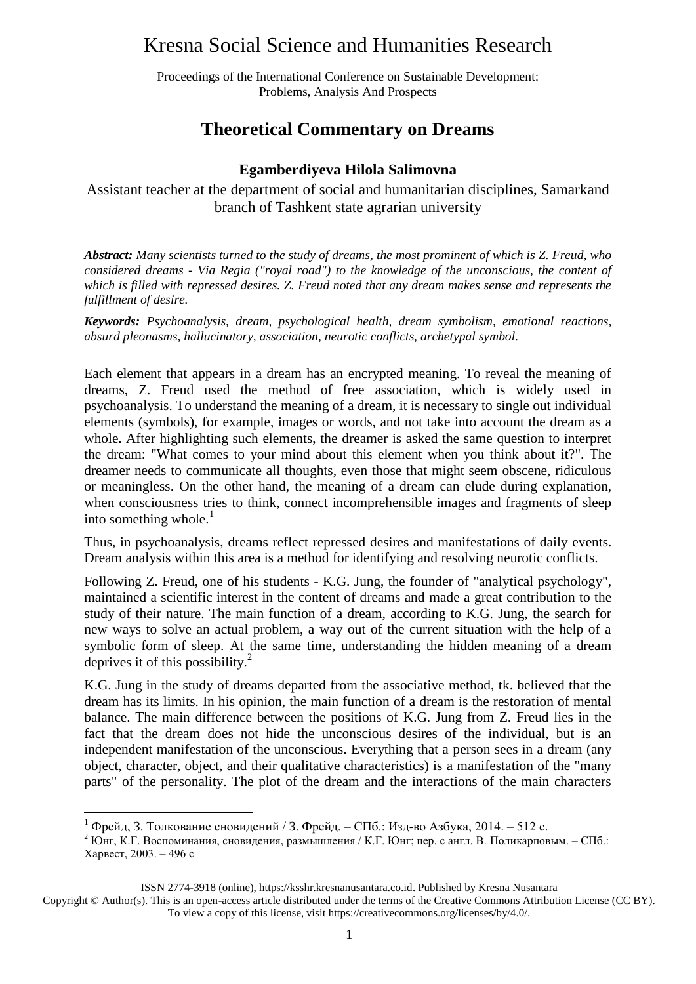### Kresna Social Science and Humanities Research

Proceedings of the International Conference on Sustainable Development: Problems, Analysis And Prospects

#### **Theoretical Commentary on Dreams**

#### **Egamberdiyeva Hilola Salimovna**

Assistant teacher at the department of social and humanitarian disciplines, Samarkand branch of Tashkent state agrarian university

*Abstract: Many scientists turned to the study of dreams, the most prominent of which is Z. Freud, who considered dreams - Via Regia ("royal road") to the knowledge of the unconscious, the content of which is filled with repressed desires. Z. Freud noted that any dream makes sense and represents the fulfillment of desire.*

*Keywords: Psychoanalysis, dream, psychological health, dream symbolism, emotional reactions, absurd pleonasms, hallucinatory, association, neurotic conflicts, archetypal symbol.*

Each element that appears in a dream has an encrypted meaning. To reveal the meaning of dreams, Z. Freud used the method of free association, which is widely used in psychoanalysis. To understand the meaning of a dream, it is necessary to single out individual elements (symbols), for example, images or words, and not take into account the dream as a whole. After highlighting such elements, the dreamer is asked the same question to interpret the dream: "What comes to your mind about this element when you think about it?". The dreamer needs to communicate all thoughts, even those that might seem obscene, ridiculous or meaningless. On the other hand, the meaning of a dream can elude during explanation, when consciousness tries to think, connect incomprehensible images and fragments of sleep into something whole. $<sup>1</sup>$ </sup>

Thus, in psychoanalysis, dreams reflect repressed desires and manifestations of daily events. Dream analysis within this area is a method for identifying and resolving neurotic conflicts.

Following Z. Freud, one of his students - K.G. Jung, the founder of "analytical psychology", maintained a scientific interest in the content of dreams and made a great contribution to the study of their nature. The main function of a dream, according to K.G. Jung, the search for new ways to solve an actual problem, a way out of the current situation with the help of a symbolic form of sleep. At the same time, understanding the hidden meaning of a dream deprives it of this possibility. $^{2}$ 

K.G. Jung in the study of dreams departed from the associative method, tk. believed that the dream has its limits. In his opinion, the main function of a dream is the restoration of mental balance. The main difference between the positions of K.G. Jung from Z. Freud lies in the fact that the dream does not hide the unconscious desires of the individual, but is an independent manifestation of the unconscious. Everything that a person sees in a dream (any object, character, object, and their qualitative characteristics) is a manifestation of the "many parts" of the personality. The plot of the dream and the interactions of the main characters

**.** 

<sup>&</sup>lt;sup>1</sup> Фрейд, 3. Толкование сновидений / 3. Фрейд. – СПб.: Изд-во Азбука, 2014. – 512 с.

<sup>2</sup> Юнг, К.Г. Воспоминания, сновидения, размышления / К.Г. Юнг; пер. с англ. В. Поликарповым. – СПб.: Харвест, 2003. – 496 с

ISSN 2774-3918 (online), https://ksshr.kresnanusantara.co.id. Published by Kresna Nusantara

Copyright © Author(s). This is an open-access article distributed under the terms of the Creative Commons Attribution License (CC BY). To view a copy of this license, visit https://creativecommons.org/licenses/by/4.0/.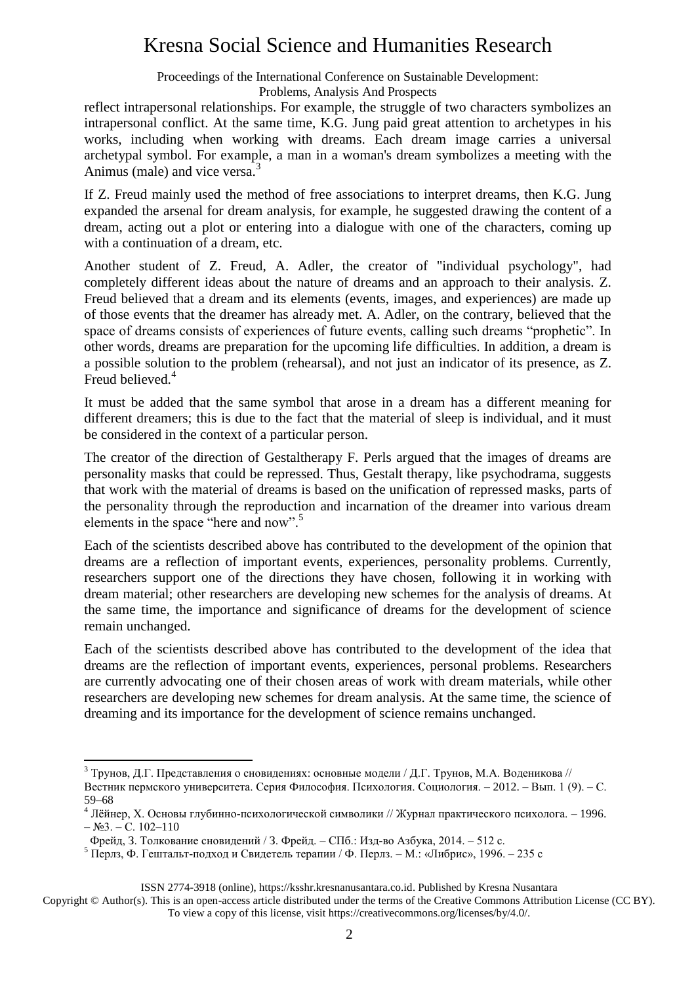## Kresna Social Science and Humanities Research

Proceedings of the International Conference on Sustainable Development:

Problems, Analysis And Prospects

reflect intrapersonal relationships. For example, the struggle of two characters symbolizes an intrapersonal conflict. At the same time, K.G. Jung paid great attention to archetypes in his works, including when working with dreams. Each dream image carries a universal archetypal symbol. For example, a man in a woman's dream symbolizes a meeting with the Animus (male) and vice versa.<sup>3</sup>

If Z. Freud mainly used the method of free associations to interpret dreams, then K.G. Jung expanded the arsenal for dream analysis, for example, he suggested drawing the content of a dream, acting out a plot or entering into a dialogue with one of the characters, coming up with a continuation of a dream, etc.

Another student of Z. Freud, A. Adler, the creator of "individual psychology", had completely different ideas about the nature of dreams and an approach to their analysis. Z. Freud believed that a dream and its elements (events, images, and experiences) are made up of those events that the dreamer has already met. A. Adler, on the contrary, believed that the space of dreams consists of experiences of future events, calling such dreams "prophetic". In other words, dreams are preparation for the upcoming life difficulties. In addition, a dream is a possible solution to the problem (rehearsal), and not just an indicator of its presence, as Z. Freud believed.<sup>4</sup>

It must be added that the same symbol that arose in a dream has a different meaning for different dreamers; this is due to the fact that the material of sleep is individual, and it must be considered in the context of a particular person.

The creator of the direction of Gestaltherapy F. Perls argued that the images of dreams are personality masks that could be repressed. Thus, Gestalt therapy, like psychodrama, suggests that work with the material of dreams is based on the unification of repressed masks, parts of the personality through the reproduction and incarnation of the dreamer into various dream elements in the space "here and now".<sup>5</sup>

Each of the scientists described above has contributed to the development of the opinion that dreams are a reflection of important events, experiences, personality problems. Currently, researchers support one of the directions they have chosen, following it in working with dream material; other researchers are developing new schemes for the analysis of dreams. At the same time, the importance and significance of dreams for the development of science remain unchanged.

Each of the scientists described above has contributed to the development of the idea that dreams are the reflection of important events, experiences, personal problems. Researchers are currently advocating one of their chosen areas of work with dream materials, while other researchers are developing new schemes for dream analysis. At the same time, the science of dreaming and its importance for the development of science remains unchanged.

1

ISSN 2774-3918 (online), https://ksshr.kresnanusantara.co.id. Published by Kresna Nusantara

 $3$  Трунов, Д.Г. Представления о сновидениях: основные модели / Д.Г. Трунов, М.А. Воденикова // Вестник пермского университета. Серия Философия. Психология. Социология. – 2012. – Вып. 1 (9). – С. 59–68

<sup>4</sup> Лёйнер, Х. Основы глубинно-психологической символики // Журнал практического психолога. – 1996.  $-$  N<sub>2</sub>3. – C. 102–110

Фрейд, З. Толкование сновидений / З. Фрейд. – СПб.: Изд-во Азбука, 2014. – 512 с.

<sup>5</sup> Перлз, Ф. Гештальт-подход и Свидетель терапии / Ф. Перлз. – М.: «Либрис», 1996. – 235 с

Copyright © Author(s). This is an open-access article distributed under the terms of the Creative Commons Attribution License (CC BY). To view a copy of this license, visit https://creativecommons.org/licenses/by/4.0/.